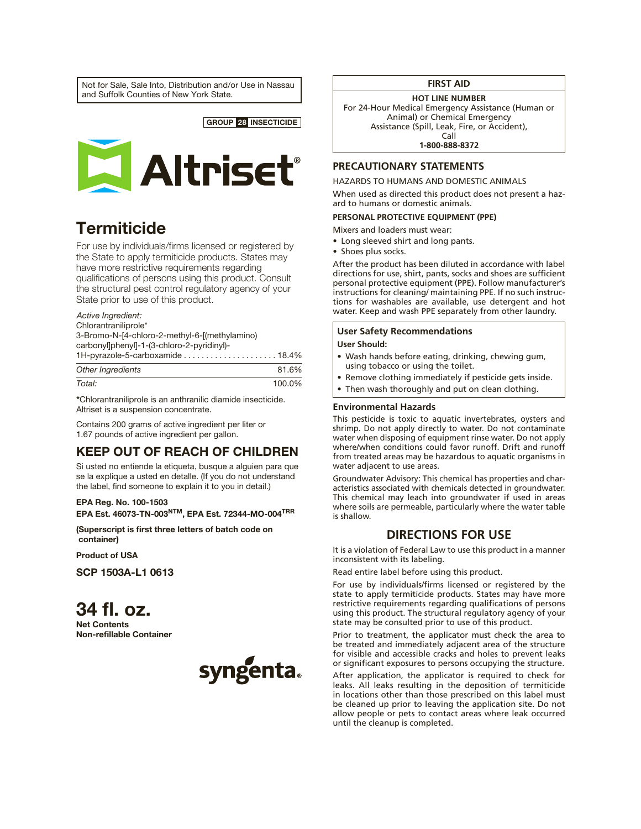Not for Sale, Sale Into, Distribution and/or Use in Nassau and Suffolk Counties of New York State.



# **Termiticide**

For use by individuals/firms licensed or registered by the State to apply termiticide products. States may have more restrictive requirements regarding qualifications of persons using this product. Consult the structural pest control regulatory agency of your State prior to use of this product.

## *Active Ingredient:*

Chlorantraniliprole\* 3-Bromo-N-[4-chloro-2-methyl-6-[(methylamino) carbonyl]phenyl]-1-(3-chloro-2-pyridinyl)- 1H-pyrazole-5-carboxamide . . . . . . . . . . . . . . . . . . . . . 18.4%

| Other Ingredients | 81.6%  |
|-------------------|--------|
| Total:            | 100.0% |

\*Chlorantraniliprole is an anthranilic diamide insecticide. Altriset is a suspension concentrate.

Contains 200 grams of active ingredient per liter or 1.67 pounds of active ingredient per gallon.

## KEEP OUT OF REACH OF CHILDREN

Si usted no entiende la etiqueta, busque a alguien para que se la explique a usted en detalle. (If you do not understand the label, find someone to explain it to you in detail.)

#### EPA Reg. No. 100-1503

EPA Est. 46073-TN-003NTM, EPA Est. 72344-MO-004TRR

(Superscript is first three letters of batch code on container)

Product of USA

SCP 1503A-L1 0613

34 fl. oz. Net Contents Non-refillable Container



## **FIRST AID**

**HOT LINE NUMBER**

For 24-Hour Medical Emergency Assistance (Human or Animal) or Chemical Emergency Assistance (Spill, Leak, Fire, or Accident), Call

**1-800-888-8372**

## **PRECAUTIONARY STATEMENTS**

#### HAZARDS TO HUMANS AND DOMESTIC ANIMALS

When used as directed this product does not present a hazard to humans or domestic animals.

## **PERSONAL PROTECTIVE EQUIPMENT (PPE)**

Mixers and loaders must wear:

- Long sleeved shirt and long pants.
- Shoes plus socks.

After the product has been diluted in accordance with label directions for use, shirt, pants, socks and shoes are sufficient personal protective equipment (PPE). Follow manufacturer's instructions for cleaning/ maintaining PPE. If no such instructions for washables are available, use detergent and hot water. Keep and wash PPE separately from other laundry.

## **User Safety Recommendations**

## **User Should:**

- Wash hands before eating, drinking, chewing gum, using tobacco or using the toilet.
- Remove clothing immediately if pesticide gets inside.
- Then wash thoroughly and put on clean clothing.

#### **Environmental Hazards**

This pesticide is toxic to aquatic invertebrates, oysters and shrimp. Do not apply directly to water. Do not contaminate water when disposing of equipment rinse water. Do not apply where/when conditions could favor runoff. Drift and runoff from treated areas may be hazardous to aquatic organisms in water adjacent to use areas.

Groundwater Advisory: This chemical has properties and characteristics associated with chemicals detected in groundwater. This chemical may leach into groundwater if used in areas where soils are permeable, particularly where the water table is shallow.

## **DIRECTIONS FOR USE**

It is a violation of Federal Law to use this product in a manner inconsistent with its labeling.

Read entire label before using this product.

For use by individuals/firms licensed or registered by the state to apply termiticide products. States may have more restrictive requirements regarding qualifications of persons using this product. The structural regulatory agency of your state may be consulted prior to use of this product.

Prior to treatment, the applicator must check the area to be treated and immediately adjacent area of the structure for visible and accessible cracks and holes to prevent leaks or significant exposures to persons occupying the structure.

After application, the applicator is required to check for leaks. All leaks resulting in the deposition of termiticide in locations other than those prescribed on this label must be cleaned up prior to leaving the application site. Do not allow people or pets to contact areas where leak occurred until the cleanup is completed.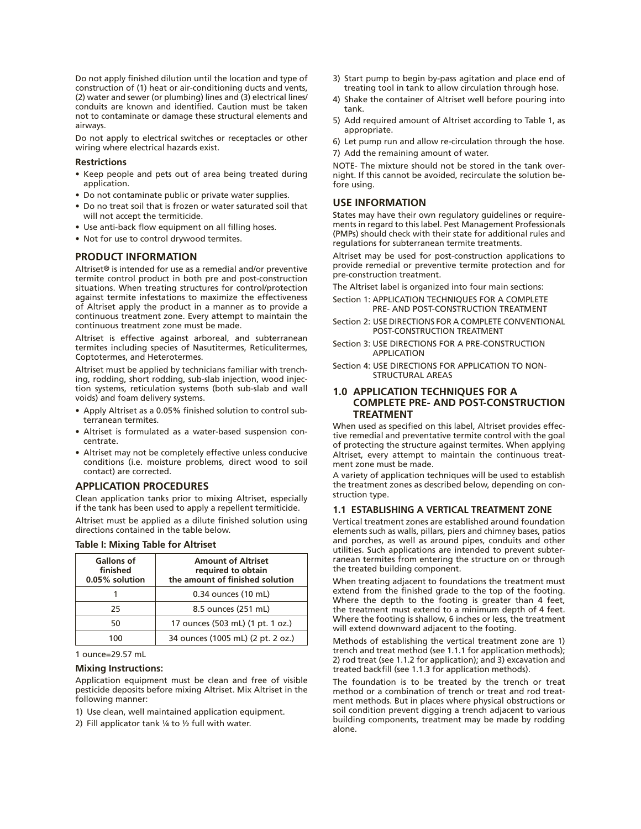Do not apply finished dilution until the location and type of construction of (1) heat or air-conditioning ducts and vents, (2) water and sewer (or plumbing) lines and (3) electrical lines/ conduits are known and identified. Caution must be taken not to contaminate or damage these structural elements and airways.

Do not apply to electrical switches or receptacles or other wiring where electrical hazards exist.

#### **Restrictions**

- Keep people and pets out of area being treated during application.
- Do not contaminate public or private water supplies.
- Do no treat soil that is frozen or water saturated soil that will not accept the termiticide.
- Use anti-back flow equipment on all filling hoses.
- Not for use to control drywood termites.

#### **PRODUCT INFORMATION**

Altriset® is intended for use as a remedial and/or preventive termite control product in both pre and post-construction situations. When treating structures for control/protection against termite infestations to maximize the effectiveness of Altriset apply the product in a manner as to provide a continuous treatment zone. Every attempt to maintain the continuous treatment zone must be made.

Altriset is effective against arboreal, and subterranean termites including species of Nasutitermes, Reticulitermes, Coptotermes, and Heterotermes.

Altriset must be applied by technicians familiar with trenching, rodding, short rodding, sub-slab injection, wood injection systems, reticulation systems (both sub-slab and wall voids) and foam delivery systems.

- Apply Altriset as a 0.05% finished solution to control subterranean termites.
- • Altriset is formulated as a water-based suspension concentrate.
- Altriset may not be completely effective unless conducive conditions (i.e. moisture problems, direct wood to soil contact) are corrected.

#### **APPLICATION PROCEDURES**

Clean application tanks prior to mixing Altriset, especially if the tank has been used to apply a repellent termiticide.

Altriset must be applied as a dilute finished solution using directions contained in the table below.

| <b>Gallons of</b><br>finished<br>0.05% solution | <b>Amount of Altriset</b><br>required to obtain<br>the amount of finished solution |  |
|-------------------------------------------------|------------------------------------------------------------------------------------|--|
|                                                 | 0.34 ounces (10 mL)                                                                |  |
| 25                                              | 8.5 ounces (251 mL)                                                                |  |
| 50                                              | 17 ounces (503 mL) (1 pt. 1 oz.)                                                   |  |
| 100                                             | 34 ounces (1005 mL) (2 pt. 2 oz.)                                                  |  |

#### **Table I: Mixing Table for Altriset**

1 ounce=29.57 mL

#### **Mixing Instructions:**

Application equipment must be clean and free of visible pesticide deposits before mixing Altriset. Mix Altriset in the following manner:

- 1) Use clean, well maintained application equipment.
- 2) Fill applicator tank ¼ to ½ full with water.
- 3) Start pump to begin by-pass agitation and place end of treating tool in tank to allow circulation through hose.
- 4) Shake the container of Altriset well before pouring into tank.
- 5) Add required amount of Altriset according to Table 1, as appropriate.
- 6) Let pump run and allow re-circulation through the hose. 7) Add the remaining amount of water.

NOTE- The mixture should not be stored in the tank overnight. If this cannot be avoided, recirculate the solution before using.

#### **USE INFORMATION**

States may have their own regulatory guidelines or requirements in regard to this label. Pest Management Professionals (PMPs) should check with their state for additional rules and regulations for subterranean termite treatments.

Altriset may be used for post-construction applications to provide remedial or preventive termite protection and for pre-construction treatment.

The Altriset label is organized into four main sections:

- Section 1: APPLICATION TECHNIQUES FOR A COMPLETE PRE- AND POST-CONSTRUCTION TREATMENT
- Section 2: USE DIRECTIONS FOR A COMPLETE CONVENTIONAL POST-CONSTRUCTION TREATMENT
- Section 3: USE DIRECTIONS FOR A PRE-CONSTRUCTION APPLICATION
- Section 4: USE DIRECTIONS FOR APPLICATION TO NON-STRUCTURAL AREAS

## **1.0 APPLICATION TECHNIQUES FOR A COMPLETE PRE- AND POST-CONSTRUCTION TREATMENT**

When used as specified on this label, Altriset provides effective remedial and preventative termite control with the goal of protecting the structure against termites. When applying Altriset, every attempt to maintain the continuous treatment zone must be made.

A variety of application techniques will be used to establish the treatment zones as described below, depending on construction type.

#### **1.1 ESTABLISHING A VERTICAL TREATMENT ZONE**

Vertical treatment zones are established around foundation elements such as walls, pillars, piers and chimney bases, patios and porches, as well as around pipes, conduits and other utilities. Such applications are intended to prevent subterranean termites from entering the structure on or through the treated building component.

When treating adjacent to foundations the treatment must extend from the finished grade to the top of the footing. Where the depth to the footing is greater than 4 feet, the treatment must extend to a minimum depth of 4 feet. Where the footing is shallow, 6 inches or less, the treatment will extend downward adjacent to the footing.

Methods of establishing the vertical treatment zone are 1) trench and treat method (see 1.1.1 for application methods); 2) rod treat (see 1.1.2 for application); and 3) excavation and treated backfill (see 1.1.3 for application methods).

The foundation is to be treated by the trench or treat method or a combination of trench or treat and rod treatment methods. But in places where physical obstructions or soil condition prevent digging a trench adjacent to various building components, treatment may be made by rodding alone.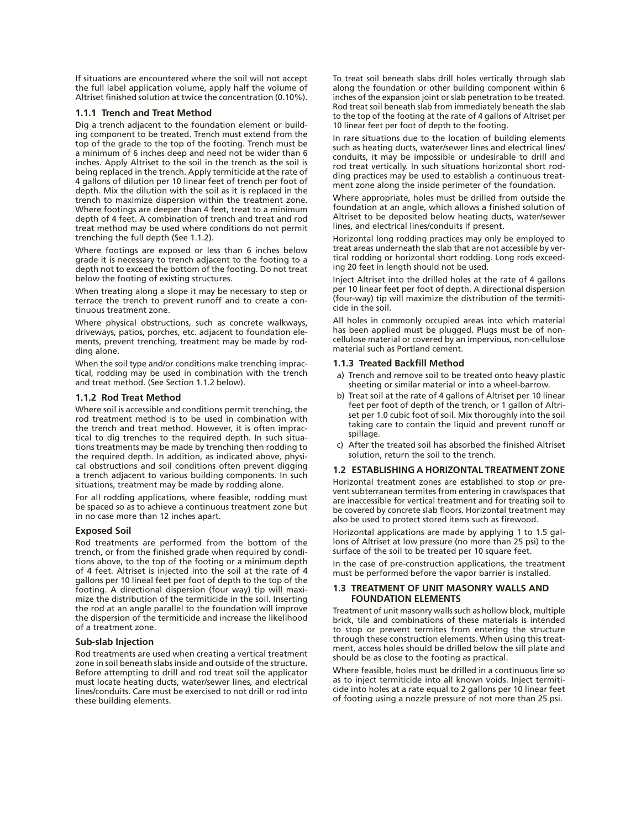If situations are encountered where the soil will not accept the full label application volume, apply half the volume of Altriset finished solution at twice the concentration (0.10%).

#### **1.1.1 Trench and Treat Method**

Dig a trench adjacent to the foundation element or building component to be treated. Trench must extend from the top of the grade to the top of the footing. Trench must be a minimum of 6 inches deep and need not be wider than 6 inches. Apply Altriset to the soil in the trench as the soil is being replaced in the trench. Apply termiticide at the rate of 4 gallons of dilution per 10 linear feet of trench per foot of depth. Mix the dilution with the soil as it is replaced in the trench to maximize dispersion within the treatment zone. Where footings are deeper than 4 feet, treat to a minimum depth of 4 feet. A combination of trench and treat and rod treat method may be used where conditions do not permit trenching the full depth (See 1.1.2).

Where footings are exposed or less than 6 inches below grade it is necessary to trench adjacent to the footing to a depth not to exceed the bottom of the footing. Do not treat below the footing of existing structures.

When treating along a slope it may be necessary to step or terrace the trench to prevent runoff and to create a continuous treatment zone.

Where physical obstructions, such as concrete walkways, driveways, patios, porches, etc. adjacent to foundation elements, prevent trenching, treatment may be made by rodding alone.

When the soil type and/or conditions make trenching impractical, rodding may be used in combination with the trench and treat method. (See Section 1.1.2 below).

#### **1.1.2 Rod Treat Method**

Where soil is accessible and conditions permit trenching, the rod treatment method is to be used in combination with the trench and treat method. However, it is often impractical to dig trenches to the required depth. In such situations treatments may be made by trenching then rodding to the required depth. In addition, as indicated above, physical obstructions and soil conditions often prevent digging a trench adjacent to various building components. In such situations, treatment may be made by rodding alone.

For all rodding applications, where feasible, rodding must be spaced so as to achieve a continuous treatment zone but in no case more than 12 inches apart.

#### **Exposed Soil**

Rod treatments are performed from the bottom of the trench, or from the finished grade when required by conditions above, to the top of the footing or a minimum depth of 4 feet. Altriset is injected into the soil at the rate of 4 gallons per 10 lineal feet per foot of depth to the top of the footing. A directional dispersion (four way) tip will maximize the distribution of the termiticide in the soil. Inserting the rod at an angle parallel to the foundation will improve the dispersion of the termiticide and increase the likelihood of a treatment zone.

#### **Sub-slab Injection**

Rod treatments are used when creating a vertical treatment zone in soil beneath slabs inside and outside of the structure. Before attempting to drill and rod treat soil the applicator must locate heating ducts, water/sewer lines, and electrical lines/conduits. Care must be exercised to not drill or rod into these building elements.

To treat soil beneath slabs drill holes vertically through slab along the foundation or other building component within 6 inches of the expansion joint or slab penetration to be treated. Rod treat soil beneath slab from immediately beneath the slab to the top of the footing at the rate of 4 gallons of Altriset per 10 linear feet per foot of depth to the footing.

In rare situations due to the location of building elements such as heating ducts, water/sewer lines and electrical lines/ conduits, it may be impossible or undesirable to drill and rod treat vertically. In such situations horizontal short rodding practices may be used to establish a continuous treatment zone along the inside perimeter of the foundation.

Where appropriate, holes must be drilled from outside the foundation at an angle, which allows a finished solution of Altriset to be deposited below heating ducts, water/sewer lines, and electrical lines/conduits if present.

Horizontal long rodding practices may only be employed to treat areas underneath the slab that are not accessible by vertical rodding or horizontal short rodding. Long rods exceeding 20 feet in length should not be used.

Inject Altriset into the drilled holes at the rate of 4 gallons per 10 linear feet per foot of depth. A directional dispersion (four-way) tip will maximize the distribution of the termiticide in the soil.

All holes in commonly occupied areas into which material has been applied must be plugged. Plugs must be of noncellulose material or covered by an impervious, non-cellulose material such as Portland cement.

#### **1.1.3 Treated Backfill Method**

- a) Trench and remove soil to be treated onto heavy plastic sheeting or similar material or into a wheel-barrow.
- b) Treat soil at the rate of 4 gallons of Altriset per 10 linear feet per foot of depth of the trench, or 1 gallon of Altriset per 1.0 cubic foot of soil. Mix thoroughly into the soil taking care to contain the liquid and prevent runoff or spillage.
- c) After the treated soil has absorbed the finished Altriset solution, return the soil to the trench.

## **1.2 ESTABLISHING A HORIZONTAL TREATMENT ZONE**

Horizontal treatment zones are established to stop or prevent subterranean termites from entering in crawlspaces that are inaccessible for vertical treatment and for treating soil to be covered by concrete slab floors. Horizontal treatment may also be used to protect stored items such as firewood.

Horizontal applications are made by applying 1 to 1.5 gallons of Altriset at low pressure (no more than 25 psi) to the surface of the soil to be treated per 10 square feet.

In the case of pre-construction applications, the treatment must be performed before the vapor barrier is installed.

#### **1.3 TREATMENT OF UNIT MASONRY WALLS AND FOUNDATION ELEMENTS**

Treatment of unit masonry walls such as hollow block, multiple brick, tile and combinations of these materials is intended to stop or prevent termites from entering the structure through these construction elements. When using this treatment, access holes should be drilled below the sill plate and should be as close to the footing as practical.

Where feasible, holes must be drilled in a continuous line so as to inject termiticide into all known voids. Inject termiticide into holes at a rate equal to 2 gallons per 10 linear feet of footing using a nozzle pressure of not more than 25 psi.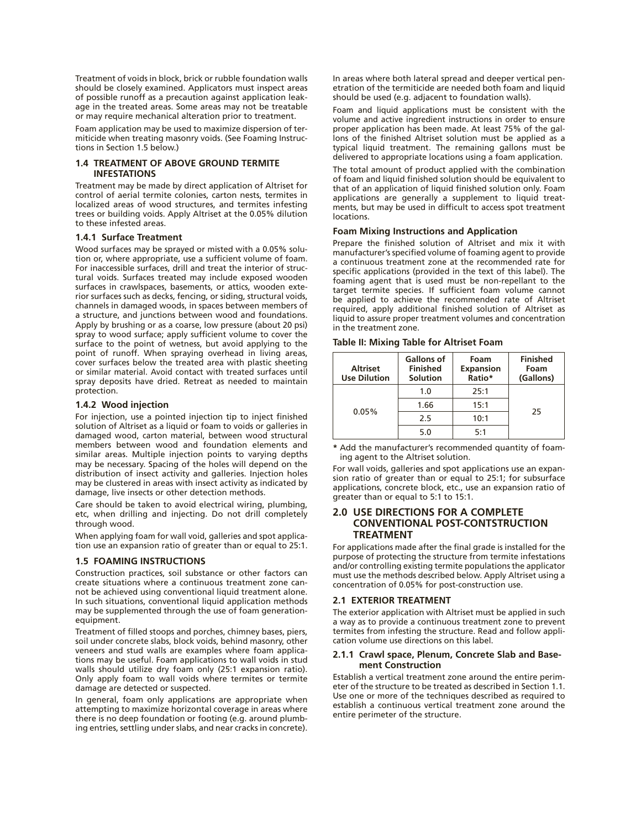Treatment of voids in block, brick or rubble foundation walls should be closely examined. Applicators must inspect areas of possible runoff as a precaution against application leakage in the treated areas. Some areas may not be treatable or may require mechanical alteration prior to treatment.

Foam application may be used to maximize dispersion of termiticide when treating masonry voids. (See Foaming Instructions in Section 1.5 below.)

#### **1.4 TREATMENT OF ABOVE GROUND TERMITE INFESTATIONS**

Treatment may be made by direct application of Altriset for control of aerial termite colonies, carton nests, termites in localized areas of wood structures, and termites infesting trees or building voids. Apply Altriset at the 0.05% dilution to these infested areas.

#### **1.4.1 Surface Treatment**

Wood surfaces may be sprayed or misted with a 0.05% solution or, where appropriate, use a sufficient volume of foam. For inaccessible surfaces, drill and treat the interior of structural voids. Surfaces treated may include exposed wooden surfaces in crawlspaces, basements, or attics, wooden exterior surfaces such as decks, fencing, or siding, structural voids, channels in damaged woods, in spaces between members of a structure, and junctions between wood and foundations. Apply by brushing or as a coarse, low pressure (about 20 psi) spray to wood surface; apply sufficient volume to cover the surface to the point of wetness, but avoid applying to the point of runoff. When spraying overhead in living areas, cover surfaces below the treated area with plastic sheeting or similar material. Avoid contact with treated surfaces until spray deposits have dried. Retreat as needed to maintain protection.

#### **1.4.2 Wood injection**

For injection, use a pointed injection tip to inject finished solution of Altriset as a liquid or foam to voids or galleries in damaged wood, carton material, between wood structural members between wood and foundation elements and similar areas. Multiple injection points to varying depths may be necessary. Spacing of the holes will depend on the distribution of insect activity and galleries. Injection holes may be clustered in areas with insect activity as indicated by damage, live insects or other detection methods.

Care should be taken to avoid electrical wiring, plumbing, etc, when drilling and injecting. Do not drill completely through wood.

When applying foam for wall void, galleries and spot application use an expansion ratio of greater than or equal to 25:1.

#### **1.5 FOAMING INSTRUCTIONS**

Construction practices, soil substance or other factors can create situations where a continuous treatment zone cannot be achieved using conventional liquid treatment alone. In such situations, conventional liquid application methods may be supplemented through the use of foam generationequipment.

Treatment of filled stoops and porches, chimney bases, piers, soil under concrete slabs, block voids, behind masonry, other veneers and stud walls are examples where foam applications may be useful. Foam applications to wall voids in stud walls should utilize dry foam only (25:1 expansion ratio). Only apply foam to wall voids where termites or termite damage are detected or suspected.

In general, foam only applications are appropriate when attempting to maximize horizontal coverage in areas where there is no deep foundation or footing (e.g. around plumbing entries, settling under slabs, and near cracks in concrete).

In areas where both lateral spread and deeper vertical penetration of the termiticide are needed both foam and liquid should be used (e.g. adjacent to foundation walls).

Foam and liquid applications must be consistent with the volume and active ingredient instructions in order to ensure proper application has been made. At least 75% of the gallons of the finished Altriset solution must be applied as a typical liquid treatment. The remaining gallons must be delivered to appropriate locations using a foam application.

The total amount of product applied with the combination of foam and liquid finished solution should be equivalent to that of an application of liquid finished solution only. Foam applications are generally a supplement to liquid treatments, but may be used in difficult to access spot treatment locations.

#### **Foam Mixing Instructions and Application**

Prepare the finished solution of Altriset and mix it with manufacturer's specified volume of foaming agent to provide a continuous treatment zone at the recommended rate for specific applications (provided in the text of this label). The foaming agent that is used must be non-repellant to the target termite species. If sufficient foam volume cannot be applied to achieve the recommended rate of Altriset required, apply additional finished solution of Altriset as liquid to assure proper treatment volumes and concentration in the treatment zone.

#### **Table II: Mixing Table for Altriset Foam**

| <b>Altriset</b><br><b>Use Dilution</b> | Gallons of<br><b>Finished</b><br><b>Solution</b> | Foam<br><b>Expansion</b><br>Ratio* | <b>Finished</b><br>Foam<br>(Gallons) |
|----------------------------------------|--------------------------------------------------|------------------------------------|--------------------------------------|
| 0.05%                                  | 1.0                                              | 25:1                               | 25                                   |
|                                        | 1.66                                             | 15:1                               |                                      |
|                                        | 2.5                                              | 10:1                               |                                      |
|                                        | 5.0                                              | 5:1                                |                                      |

**\*** Add the manufacturer's recommended quantity of foaming agent to the Altriset solution.

For wall voids, galleries and spot applications use an expansion ratio of greater than or equal to 25:1; for subsurface applications, concrete block, etc., use an expansion ratio of greater than or equal to 5:1 to 15:1.

## **2.0 USE DIRECTIONS FOR A COMPLETE CONVENTIONAL POST-CONTSTRUCTION TREATMENT**

For applications made after the final grade is installed for the purpose of protecting the structure from termite infestations and/or controlling existing termite populations the applicator must use the methods described below. Apply Altriset using a concentration of 0.05% for post-construction use.

#### **2.1 EXTERIOR TREATMENT**

The exterior application with Altriset must be applied in such a way as to provide a continuous treatment zone to prevent termites from infesting the structure. Read and follow application volume use directions on this label.

#### **2.1.1 Crawl space, Plenum, Concrete Slab and Basement Construction**

Establish a vertical treatment zone around the entire perimeter of the structure to be treated as described in Section 1.1. Use one or more of the techniques described as required to establish a continuous vertical treatment zone around the entire perimeter of the structure.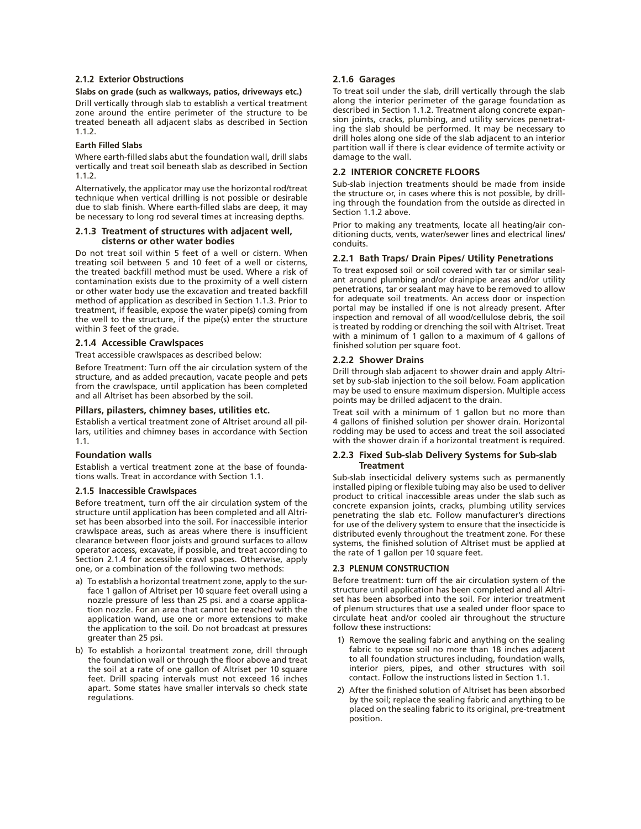#### **2.1.2 Exterior Obstructions**

## **Slabs on grade (such as walkways, patios, driveways etc.)**

Drill vertically through slab to establish a vertical treatment zone around the entire perimeter of the structure to be treated beneath all adjacent slabs as described in Section 1.1.2.

#### **Earth Filled Slabs**

Where earth-filled slabs abut the foundation wall, drill slabs vertically and treat soil beneath slab as described in Section 1.1.2.

Alternatively, the applicator may use the horizontal rod/treat technique when vertical drilling is not possible or desirable due to slab finish. Where earth-filled slabs are deep, it may be necessary to long rod several times at increasing depths.

#### **2.1.3 Treatment of structures with adjacent well, cisterns or other water bodies**

Do not treat soil within 5 feet of a well or cistern. When treating soil between 5 and 10 feet of a well or cisterns, the treated backfill method must be used. Where a risk of contamination exists due to the proximity of a well cistern or other water body use the excavation and treated backfill method of application as described in Section 1.1.3. Prior to treatment, if feasible, expose the water pipe(s) coming from the well to the structure, if the pipe(s) enter the structure within 3 feet of the grade.

#### **2.1.4 Accessible Crawlspaces**

Treat accessible crawlspaces as described below:

Before Treatment: Turn off the air circulation system of the structure, and as added precaution, vacate people and pets from the crawlspace, until application has been completed and all Altriset has been absorbed by the soil.

#### **Pillars, pilasters, chimney bases, utilities etc.**

Establish a vertical treatment zone of Altriset around all pillars, utilities and chimney bases in accordance with Section 1.1.

#### **Foundation walls**

Establish a vertical treatment zone at the base of foundations walls. Treat in accordance with Section 1.1.

#### **2.1.5 Inaccessible Crawlspaces**

Before treatment, turn off the air circulation system of the structure until application has been completed and all Altriset has been absorbed into the soil. For inaccessible interior crawlspace areas, such as areas where there is insufficient clearance between floor joists and ground surfaces to allow operator access, excavate, if possible, and treat according to Section 2.1.4 for accessible crawl spaces. Otherwise, apply one, or a combination of the following two methods:

- a) To establish a horizontal treatment zone, apply to the surface 1 gallon of Altriset per 10 square feet overall using a nozzle pressure of less than 25 psi. and a coarse application nozzle. For an area that cannot be reached with the application wand, use one or more extensions to make the application to the soil. Do not broadcast at pressures greater than 25 psi.
- b) To establish a horizontal treatment zone, drill through the foundation wall or through the floor above and treat the soil at a rate of one gallon of Altriset per 10 square feet. Drill spacing intervals must not exceed 16 inches apart. Some states have smaller intervals so check state regulations.

#### **2.1.6 Garages**

To treat soil under the slab, drill vertically through the slab along the interior perimeter of the garage foundation as described in Section 1.1.2. Treatment along concrete expansion joints, cracks, plumbing, and utility services penetrating the slab should be performed. It may be necessary to drill holes along one side of the slab adjacent to an interior partition wall if there is clear evidence of termite activity or damage to the wall.

#### **2.2 INTERIOR CONCRETE FLOORS**

Sub-slab injection treatments should be made from inside the structure or, in cases where this is not possible, by drilling through the foundation from the outside as directed in Section 1.1.2 above.

Prior to making any treatments, locate all heating/air conditioning ducts, vents, water/sewer lines and electrical lines/ conduits.

#### **2.2.1 Bath Traps/ Drain Pipes/ Utility Penetrations**

To treat exposed soil or soil covered with tar or similar sealant around plumbing and/or drainpipe areas and/or utility penetrations, tar or sealant may have to be removed to allow for adequate soil treatments. An access door or inspection portal may be installed if one is not already present. After inspection and removal of all wood/cellulose debris, the soil is treated by rodding or drenching the soil with Altriset. Treat with a minimum of 1 gallon to a maximum of 4 gallons of finished solution per square foot.

#### **2.2.2 Shower Drains**

Drill through slab adjacent to shower drain and apply Altriset by sub-slab injection to the soil below. Foam application may be used to ensure maximum dispersion. Multiple access points may be drilled adjacent to the drain.

Treat soil with a minimum of 1 gallon but no more than 4 gallons of finished solution per shower drain. Horizontal rodding may be used to access and treat the soil associated with the shower drain if a horizontal treatment is required.

#### **2.2.3 Fixed Sub-slab Delivery Systems for Sub-slab Treatment**

Sub-slab insecticidal delivery systems such as permanently installed piping or flexible tubing may also be used to deliver product to critical inaccessible areas under the slab such as concrete expansion joints, cracks, plumbing utility services penetrating the slab etc. Follow manufacturer's directions for use of the delivery system to ensure that the insecticide is distributed evenly throughout the treatment zone. For these systems, the finished solution of Altriset must be applied at the rate of 1 gallon per 10 square feet.

## **2.3 PLENUM CONSTRUCTION**

Before treatment: turn off the air circulation system of the structure until application has been completed and all Altriset has been absorbed into the soil. For interior treatment of plenum structures that use a sealed under floor space to circulate heat and/or cooled air throughout the structure follow these instructions:

- 1) Remove the sealing fabric and anything on the sealing fabric to expose soil no more than 18 inches adjacent to all foundation structures including, foundation walls, interior piers, pipes, and other structures with soil contact. Follow the instructions listed in Section 1.1.
- 2) After the finished solution of Altriset has been absorbed by the soil; replace the sealing fabric and anything to be placed on the sealing fabric to its original, pre-treatment position.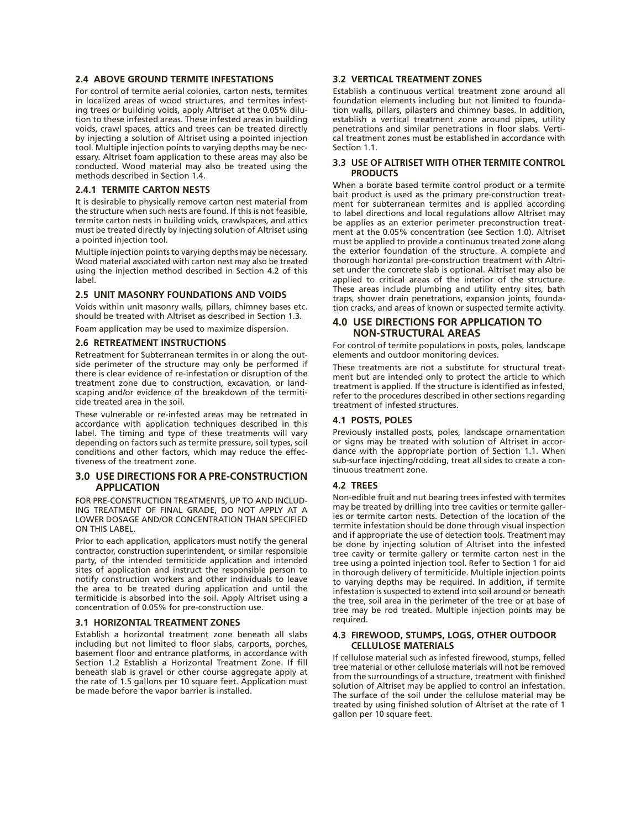#### **2.4 ABOVE GROUND TERMITE INFESTATIONS**

For control of termite aerial colonies, carton nests, termites in localized areas of wood structures, and termites infesting trees or building voids, apply Altriset at the 0.05% dilution to these infested areas. These infested areas in building voids, crawl spaces, attics and trees can be treated directly by injecting a solution of Altriset using a pointed injection tool. Multiple injection points to varying depths may be necessary. Altriset foam application to these areas may also be conducted. Wood material may also be treated using the methods described in Section 1.4.

#### **2.4.1 TERMITE CARTON NESTS**

It is desirable to physically remove carton nest material from the structure when such nests are found. If this is not feasible, termite carton nests in building voids, crawlspaces, and attics must be treated directly by injecting solution of Altriset using a pointed injection tool.

Multiple injection points to varying depths may be necessary. Wood material associated with carton nest may also be treated using the injection method described in Section 4.2 of this label.

#### **2.5 UNIT MASONRY FOUNDATIONS AND VOIDS**

Voids within unit masonry walls, pillars, chimney bases etc. should be treated with Altriset as described in Section 1.3.

Foam application may be used to maximize dispersion.

#### **2.6 RETREATMENT INSTRUCTIONS**

Retreatment for Subterranean termites in or along the outside perimeter of the structure may only be performed if there is clear evidence of re-infestation or disruption of the treatment zone due to construction, excavation, or landscaping and/or evidence of the breakdown of the termiticide treated area in the soil.

These vulnerable or re-infested areas may be retreated in accordance with application techniques described in this label. The timing and type of these treatments will vary depending on factors such as termite pressure, soil types, soil conditions and other factors, which may reduce the effectiveness of the treatment zone.

## **3.0 USE DIRECTIONS FOR A PRE-CONSTRUCTION APPLICATION**

FOR PRE-CONSTRUCTION TREATMENTS, UP TO AND INCLUD-ING TREATMENT OF FINAL GRADE, DO NOT APPLY AT A LOWER DOSAGE AND/OR CONCENTRATION THAN SPECIFIED ON THIS LABEL.

Prior to each application, applicators must notify the general contractor, construction superintendent, or similar responsible party, of the intended termiticide application and intended sites of application and instruct the responsible person to notify construction workers and other individuals to leave the area to be treated during application and until the termiticide is absorbed into the soil. Apply Altriset using a concentration of 0.05% for pre-construction use.

#### **3.1 HORIZONTAL TREATMENT ZONES**

Establish a horizontal treatment zone beneath all slabs including but not limited to floor slabs, carports, porches, basement floor and entrance platforms, in accordance with Section 1.2 Establish a Horizontal Treatment Zone. If fill beneath slab is gravel or other course aggregate apply at the rate of 1.5 gallons per 10 square feet. Application must be made before the vapor barrier is installed.

### **3.2 VERTICAL TREATMENT ZONES**

Establish a continuous vertical treatment zone around all foundation elements including but not limited to foundation walls, pillars, pilasters and chimney bases. In addition, establish a vertical treatment zone around pipes, utility penetrations and similar penetrations in floor slabs. Vertical treatment zones must be established in accordance with Section 1.1.

#### **3.3 USE OF ALTRISET WITH OTHER TERMITE CONTROL PRODUCTS**

When a borate based termite control product or a termite bait product is used as the primary pre-construction treatment for subterranean termites and is applied according to label directions and local regulations allow Altriset may be applies as an exterior perimeter preconstruction treatment at the 0.05% concentration (see Section 1.0). Altriset must be applied to provide a continuous treated zone along the exterior foundation of the structure. A complete and thorough horizontal pre-construction treatment with Altriset under the concrete slab is optional. Altriset may also be applied to critical areas of the interior of the structure. These areas include plumbing and utility entry sites, bath traps, shower drain penetrations, expansion joints, foundation cracks, and areas of known or suspected termite activity.

## **4.0 USE DIRECTIONS FOR APPLICATION TO NON-STRUCTURAL AREAS**

For control of termite populations in posts, poles, landscape elements and outdoor monitoring devices.

These treatments are not a substitute for structural treatment but are intended only to protect the article to which treatment is applied. If the structure is identified as infested, refer to the procedures described in other sections regarding treatment of infested structures.

## **4.1 POSTS, POLES**

Previously installed posts, poles, landscape ornamentation or signs may be treated with solution of Altriset in accordance with the appropriate portion of Section 1.1. When sub-surface injecting/rodding, treat all sides to create a continuous treatment zone.

#### **4.2 TREES**

Non-edible fruit and nut bearing trees infested with termites may be treated by drilling into tree cavities or termite galleries or termite carton nests. Detection of the location of the termite infestation should be done through visual inspection and if appropriate the use of detection tools. Treatment may be done by injecting solution of Altriset into the infested tree cavity or termite gallery or termite carton nest in the tree using a pointed injection tool. Refer to Section 1 for aid in thorough delivery of termiticide. Multiple injection points to varying depths may be required. In addition, if termite infestation is suspected to extend into soil around or beneath the tree, soil area in the perimeter of the tree or at base of tree may be rod treated. Multiple injection points may be required.

#### **4.3 FIREWOOD, STUMPS, LOGS, OTHER OUTDOOR CELLULOSE MATERIALS**

If cellulose material such as infested firewood, stumps, felled tree material or other cellulose materials will not be removed from the surroundings of a structure, treatment with finished solution of Altriset may be applied to control an infestation. The surface of the soil under the cellulose material may be treated by using finished solution of Altriset at the rate of 1 gallon per 10 square feet.